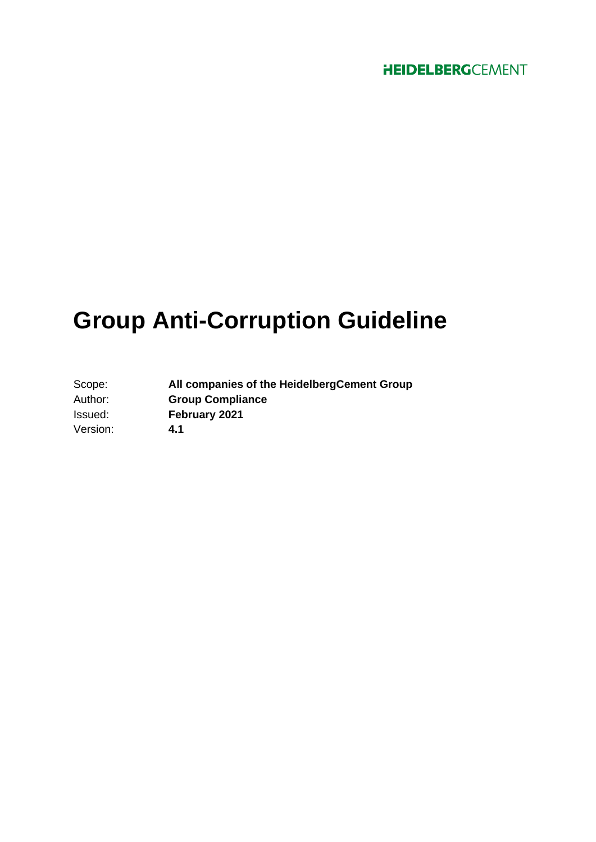# **Group Anti-Corruption Guideline**

| Scope:   | All companies of the Heidelberg Cement Group |
|----------|----------------------------------------------|
| Author:  | <b>Group Compliance</b>                      |
| Issued:  | February 2021                                |
| Version: | 4.1                                          |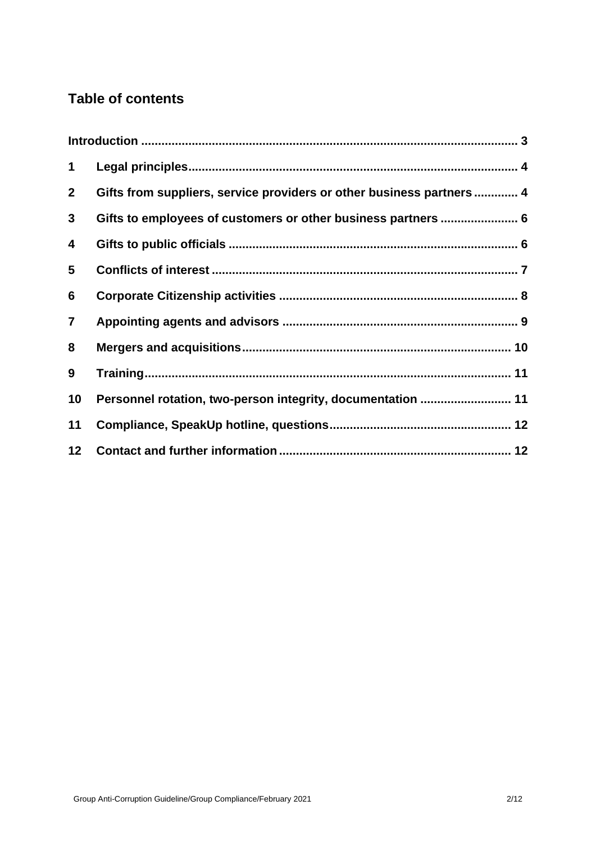# **Table of contents**

| $\mathbf 1$    |                                                                       |  |
|----------------|-----------------------------------------------------------------------|--|
| 2 <sup>1</sup> | Gifts from suppliers, service providers or other business partners  4 |  |
| 3 <sup>1</sup> | Gifts to employees of customers or other business partners  6         |  |
| 4              |                                                                       |  |
| 5              |                                                                       |  |
| 6              |                                                                       |  |
| $\overline{7}$ |                                                                       |  |
| 8              |                                                                       |  |
| 9              |                                                                       |  |
| 10             | Personnel rotation, two-person integrity, documentation  11           |  |
| 11             |                                                                       |  |
| 12             |                                                                       |  |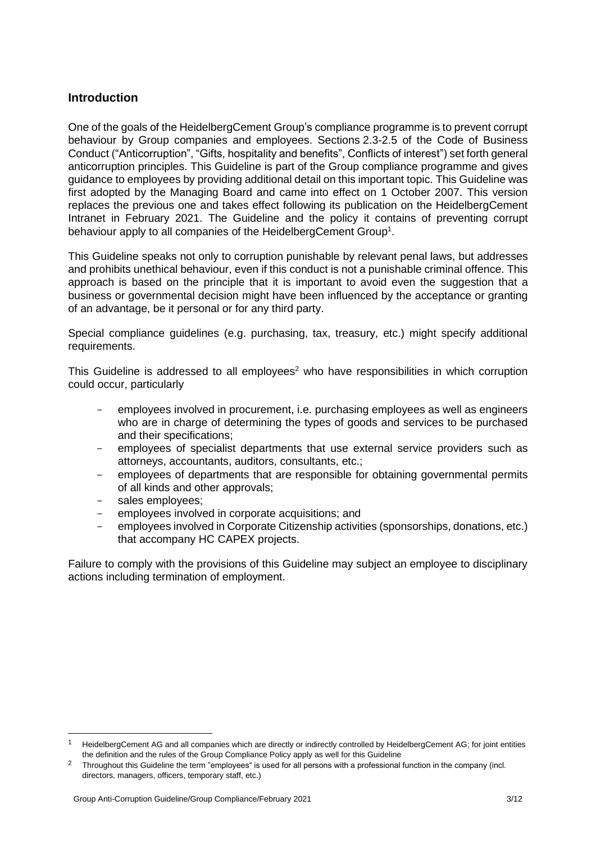#### <span id="page-2-0"></span>**Introduction**

One of the goals of the HeidelbergCement Group's compliance programme is to prevent corrupt behaviour by Group companies and employees. Sections 2.3-2.5 of the Code of Business Conduct ("Anticorruption", "Gifts, hospitality and benefits", Conflicts of interest") set forth general anticorruption principles. This Guideline is part of the Group compliance programme and gives guidance to employees by providing additional detail on this important topic. This Guideline was first adopted by the Managing Board and came into effect on 1 October 2007. This version replaces the previous one and takes effect following its publication on the HeidelbergCement Intranet in February 2021. The Guideline and the policy it contains of preventing corrupt behaviour apply to all companies of the HeidelbergCement Group<sup>1</sup>.

This Guideline speaks not only to corruption punishable by relevant penal laws, but addresses and prohibits unethical behaviour, even if this conduct is not a punishable criminal offence. This approach is based on the principle that it is important to avoid even the suggestion that a business or governmental decision might have been influenced by the acceptance or granting of an advantage, be it personal or for any third party.

Special compliance guidelines (e.g. purchasing, tax, treasury, etc.) might specify additional requirements.

This Guideline is addressed to all employees<sup>2</sup> who have responsibilities in which corruption could occur, particularly

- employees involved in procurement, i.e. purchasing employees as well as engineers who are in charge of determining the types of goods and services to be purchased and their specifications;
- employees of specialist departments that use external service providers such as attorneys, accountants, auditors, consultants, etc.;
- employees of departments that are responsible for obtaining governmental permits of all kinds and other approvals;
- sales employees:
- employees involved in corporate acquisitions; and
- employees involved in Corporate Citizenship activities (sponsorships, donations, etc.) that accompany HC CAPEX projects.

Failure to comply with the provisions of this Guideline may subject an employee to disciplinary actions including termination of employment.

<sup>1</sup> HeidelbergCement AG and all companies which are directly or indirectly controlled by HeidelbergCement AG; for joint entities the definition and the rules of the Group Compliance Policy apply as well for this Guideline

<sup>&</sup>lt;sup>2</sup> Throughout this Guideline the term "employees" is used for all persons with a professional function in the company (incl. directors, managers, officers, temporary staff, etc.)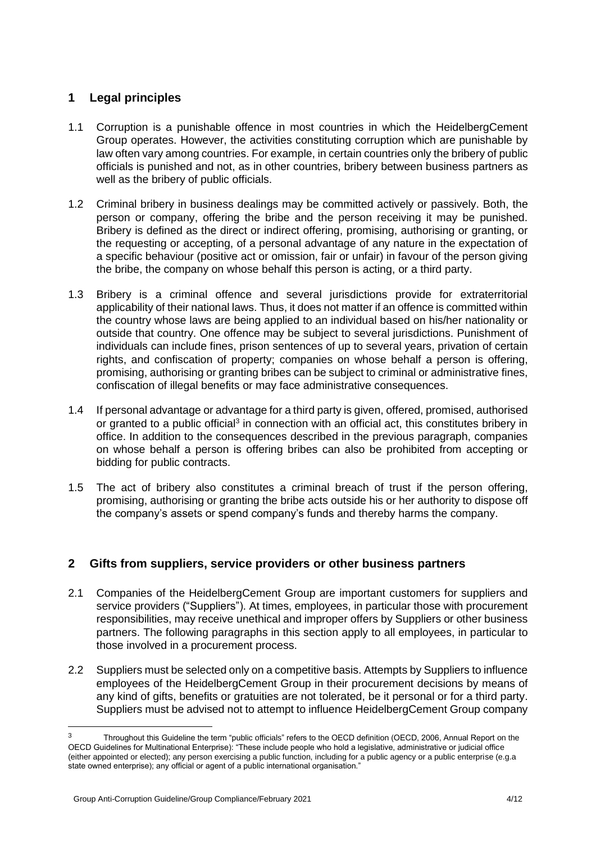# <span id="page-3-0"></span>**1 Legal principles**

- 1.1 Corruption is a punishable offence in most countries in which the HeidelbergCement Group operates. However, the activities constituting corruption which are punishable by law often vary among countries. For example, in certain countries only the bribery of public officials is punished and not, as in other countries, bribery between business partners as well as the bribery of public officials.
- 1.2 Criminal bribery in business dealings may be committed actively or passively. Both, the person or company, offering the bribe and the person receiving it may be punished. Bribery is defined as the direct or indirect offering, promising, authorising or granting, or the requesting or accepting, of a personal advantage of any nature in the expectation of a specific behaviour (positive act or omission, fair or unfair) in favour of the person giving the bribe, the company on whose behalf this person is acting, or a third party.
- 1.3 Bribery is a criminal offence and several jurisdictions provide for extraterritorial applicability of their national laws. Thus, it does not matter if an offence is committed within the country whose laws are being applied to an individual based on his/her nationality or outside that country. One offence may be subject to several jurisdictions. Punishment of individuals can include fines, prison sentences of up to several years, privation of certain rights, and confiscation of property; companies on whose behalf a person is offering, promising, authorising or granting bribes can be subject to criminal or administrative fines, confiscation of illegal benefits or may face administrative consequences.
- 1.4 If personal advantage or advantage for a third party is given, offered, promised, authorised or granted to a public official<sup>3</sup> in connection with an official act, this constitutes bribery in office. In addition to the consequences described in the previous paragraph, companies on whose behalf a person is offering bribes can also be prohibited from accepting or bidding for public contracts.
- 1.5 The act of bribery also constitutes a criminal breach of trust if the person offering, promising, authorising or granting the bribe acts outside his or her authority to dispose off the company's assets or spend company's funds and thereby harms the company.

# <span id="page-3-1"></span>**2 Gifts from suppliers, service providers or other business partners**

- 2.1 Companies of the HeidelbergCement Group are important customers for suppliers and service providers ("Suppliers"). At times, employees, in particular those with procurement responsibilities, may receive unethical and improper offers by Suppliers or other business partners. The following paragraphs in this section apply to all employees, in particular to those involved in a procurement process.
- 2.2 Suppliers must be selected only on a competitive basis. Attempts by Suppliers to influence employees of the HeidelbergCement Group in their procurement decisions by means of any kind of gifts, benefits or gratuities are not tolerated, be it personal or for a third party. Suppliers must be advised not to attempt to influence HeidelbergCement Group company

Throughout this Guideline the term "public officials" refers to the OECD definition (OECD, 2006, Annual Report on the OECD Guidelines for Multinational Enterprise): "These include people who hold a legislative, administrative or judicial office (either appointed or elected); any person exercising a public function, including for a public agency or a public enterprise (e.g.a state owned enterprise); any official or agent of a public international organisation."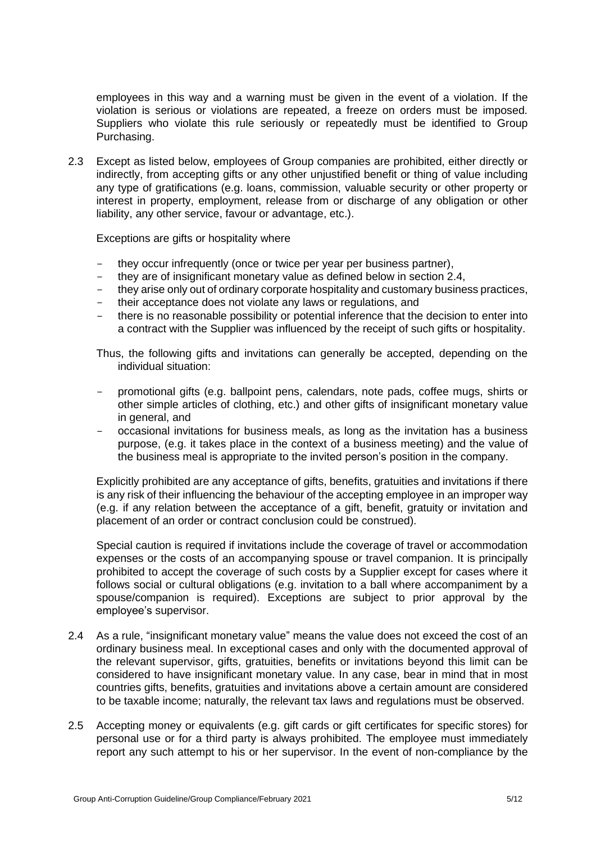employees in this way and a warning must be given in the event of a violation. If the violation is serious or violations are repeated, a freeze on orders must be imposed. Suppliers who violate this rule seriously or repeatedly must be identified to Group Purchasing.

2.3 Except as listed below, employees of Group companies are prohibited, either directly or indirectly, from accepting gifts or any other unjustified benefit or thing of value including any type of gratifications (e.g. loans, commission, valuable security or other property or interest in property, employment, release from or discharge of any obligation or other liability, any other service, favour or advantage, etc.).

Exceptions are gifts or hospitality where

- they occur infrequently (once or twice per year per business partner),
- they are of insignificant monetary value as defined below in section 2.4,
- they arise only out of ordinary corporate hospitality and customary business practices,
- their acceptance does not violate any laws or regulations, and
- there is no reasonable possibility or potential inference that the decision to enter into a contract with the Supplier was influenced by the receipt of such gifts or hospitality.

Thus, the following gifts and invitations can generally be accepted, depending on the individual situation:

- promotional gifts (e.g. ballpoint pens, calendars, note pads, coffee mugs, shirts or other simple articles of clothing, etc.) and other gifts of insignificant monetary value in general, and
- occasional invitations for business meals, as long as the invitation has a business purpose, (e.g. it takes place in the context of a business meeting) and the value of the business meal is appropriate to the invited person's position in the company.

Explicitly prohibited are any acceptance of gifts, benefits, gratuities and invitations if there is any risk of their influencing the behaviour of the accepting employee in an improper way (e.g. if any relation between the acceptance of a gift, benefit, gratuity or invitation and placement of an order or contract conclusion could be construed).

Special caution is required if invitations include the coverage of travel or accommodation expenses or the costs of an accompanying spouse or travel companion. It is principally prohibited to accept the coverage of such costs by a Supplier except for cases where it follows social or cultural obligations (e.g. invitation to a ball where accompaniment by a spouse/companion is required). Exceptions are subject to prior approval by the employee's supervisor.

- 2.4 As a rule, "insignificant monetary value" means the value does not exceed the cost of an ordinary business meal. In exceptional cases and only with the documented approval of the relevant supervisor, gifts, gratuities, benefits or invitations beyond this limit can be considered to have insignificant monetary value. In any case, bear in mind that in most countries gifts, benefits, gratuities and invitations above a certain amount are considered to be taxable income; naturally, the relevant tax laws and regulations must be observed.
- 2.5 Accepting money or equivalents (e.g. gift cards or gift certificates for specific stores) for personal use or for a third party is always prohibited. The employee must immediately report any such attempt to his or her supervisor. In the event of non-compliance by the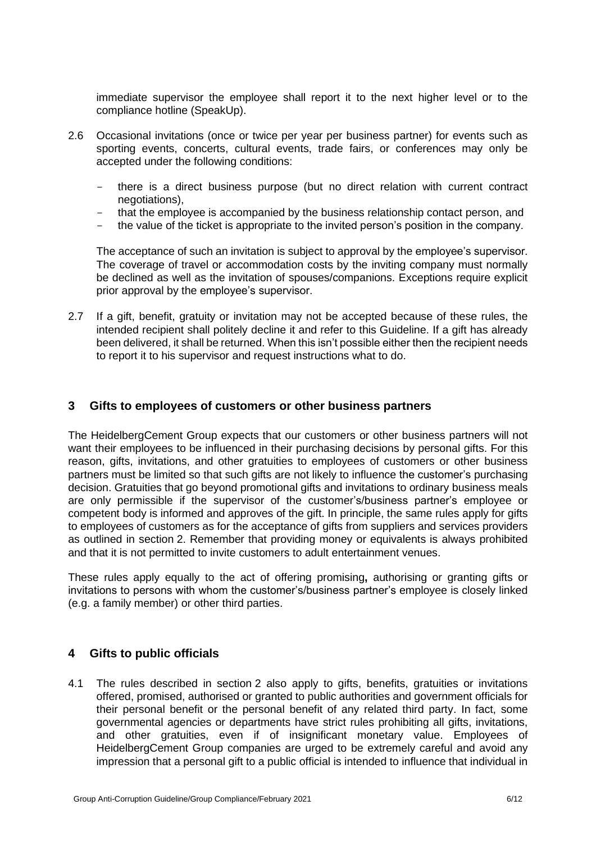immediate supervisor the employee shall report it to the next higher level or to the compliance hotline (SpeakUp).

- 2.6 Occasional invitations (once or twice per year per business partner) for events such as sporting events, concerts, cultural events, trade fairs, or conferences may only be accepted under the following conditions:
	- there is a direct business purpose (but no direct relation with current contract negotiations),
	- that the employee is accompanied by the business relationship contact person, and
	- the value of the ticket is appropriate to the invited person's position in the company.

The acceptance of such an invitation is subject to approval by the employee's supervisor. The coverage of travel or accommodation costs by the inviting company must normally be declined as well as the invitation of spouses/companions. Exceptions require explicit prior approval by the employee's supervisor.

2.7 If a gift, benefit, gratuity or invitation may not be accepted because of these rules, the intended recipient shall politely decline it and refer to this Guideline. If a gift has already been delivered, it shall be returned. When this isn't possible either then the recipient needs to report it to his supervisor and request instructions what to do.

#### <span id="page-5-0"></span>**3 Gifts to employees of customers or other business partners**

The HeidelbergCement Group expects that our customers or other business partners will not want their employees to be influenced in their purchasing decisions by personal gifts. For this reason, gifts, invitations, and other gratuities to employees of customers or other business partners must be limited so that such gifts are not likely to influence the customer's purchasing decision. Gratuities that go beyond promotional gifts and invitations to ordinary business meals are only permissible if the supervisor of the customer's/business partner's employee or competent body is informed and approves of the gift. In principle, the same rules apply for gifts to employees of customers as for the acceptance of gifts from suppliers and services providers as outlined in section 2. Remember that providing money or equivalents is always prohibited and that it is not permitted to invite customers to adult entertainment venues.

These rules apply equally to the act of offering promising**,** authorising or granting gifts or invitations to persons with whom the customer's/business partner's employee is closely linked (e.g. a family member) or other third parties.

#### <span id="page-5-1"></span>**4 Gifts to public officials**

4.1 The rules described in section 2 also apply to gifts, benefits, gratuities or invitations offered, promised, authorised or granted to public authorities and government officials for their personal benefit or the personal benefit of any related third party. In fact, some governmental agencies or departments have strict rules prohibiting all gifts, invitations, and other gratuities, even if of insignificant monetary value. Employees of HeidelbergCement Group companies are urged to be extremely careful and avoid any impression that a personal gift to a public official is intended to influence that individual in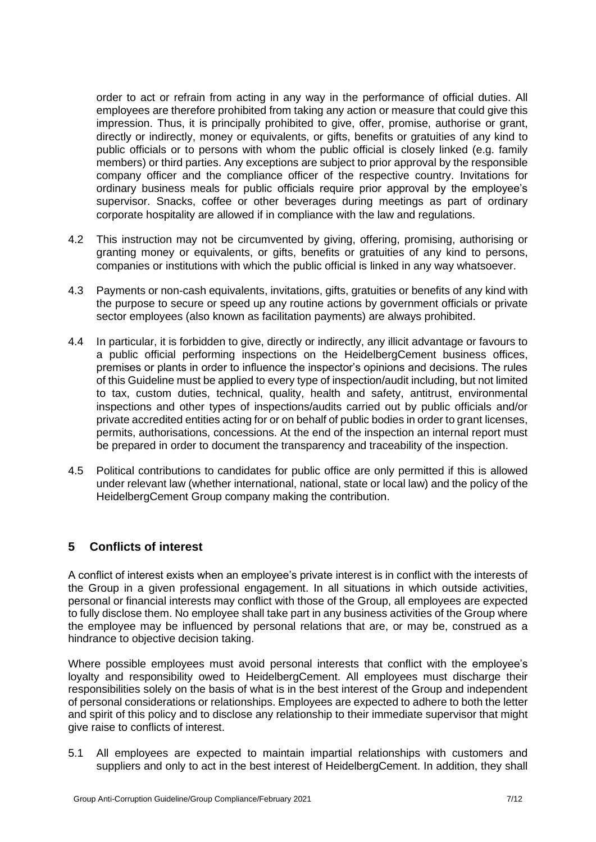order to act or refrain from acting in any way in the performance of official duties. All employees are therefore prohibited from taking any action or measure that could give this impression. Thus, it is principally prohibited to give, offer, promise, authorise or grant, directly or indirectly, money or equivalents, or gifts, benefits or gratuities of any kind to public officials or to persons with whom the public official is closely linked (e.g. family members) or third parties. Any exceptions are subject to prior approval by the responsible company officer and the compliance officer of the respective country. Invitations for ordinary business meals for public officials require prior approval by the employee's supervisor. Snacks, coffee or other beverages during meetings as part of ordinary corporate hospitality are allowed if in compliance with the law and regulations.

- 4.2 This instruction may not be circumvented by giving, offering, promising, authorising or granting money or equivalents, or gifts, benefits or gratuities of any kind to persons, companies or institutions with which the public official is linked in any way whatsoever.
- 4.3 Payments or non-cash equivalents, invitations, gifts, gratuities or benefits of any kind with the purpose to secure or speed up any routine actions by government officials or private sector employees (also known as facilitation payments) are always prohibited.
- 4.4 In particular, it is forbidden to give, directly or indirectly, any illicit advantage or favours to a public official performing inspections on the HeidelbergCement business offices, premises or plants in order to influence the inspector's opinions and decisions. The rules of this Guideline must be applied to every type of inspection/audit including, but not limited to tax, custom duties, technical, quality, health and safety, antitrust, environmental inspections and other types of inspections/audits carried out by public officials and/or private accredited entities acting for or on behalf of public bodies in order to grant licenses, permits, authorisations, concessions. At the end of the inspection an internal report must be prepared in order to document the transparency and traceability of the inspection.
- 4.5 Political contributions to candidates for public office are only permitted if this is allowed under relevant law (whether international, national, state or local law) and the policy of the HeidelbergCement Group company making the contribution.

# <span id="page-6-0"></span>**5 Conflicts of interest**

A conflict of interest exists when an employee's private interest is in conflict with the interests of the Group in a given professional engagement. In all situations in which outside activities, personal or financial interests may conflict with those of the Group, all employees are expected to fully disclose them. No employee shall take part in any business activities of the Group where the employee may be influenced by personal relations that are, or may be, construed as a hindrance to objective decision taking.

Where possible employees must avoid personal interests that conflict with the employee's loyalty and responsibility owed to HeidelbergCement. All employees must discharge their responsibilities solely on the basis of what is in the best interest of the Group and independent of personal considerations or relationships. Employees are expected to adhere to both the letter and spirit of this policy and to disclose any relationship to their immediate supervisor that might give raise to conflicts of interest.

5.1 All employees are expected to maintain impartial relationships with customers and suppliers and only to act in the best interest of HeidelbergCement. In addition, they shall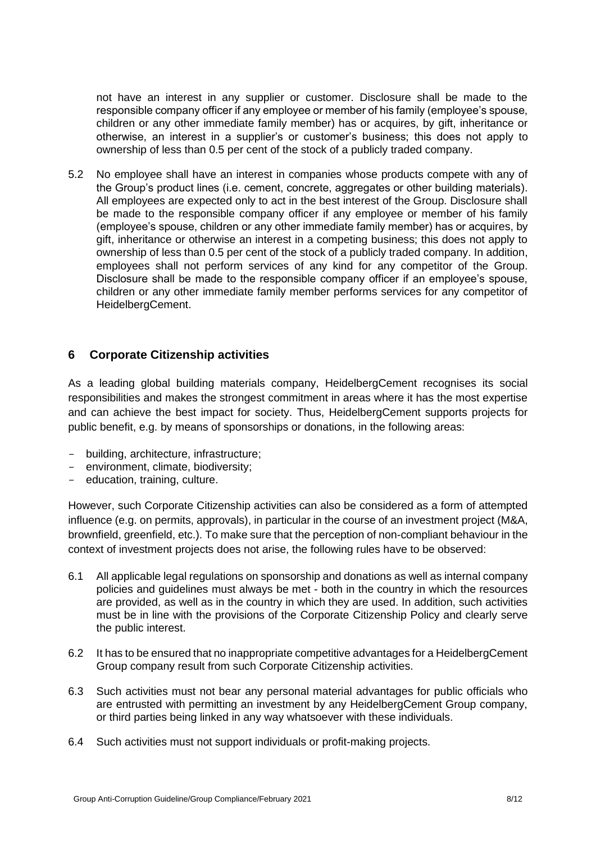not have an interest in any supplier or customer. Disclosure shall be made to the responsible company officer if any employee or member of his family (employee's spouse, children or any other immediate family member) has or acquires, by gift, inheritance or otherwise, an interest in a supplier's or customer's business; this does not apply to ownership of less than 0.5 per cent of the stock of a publicly traded company.

5.2 No employee shall have an interest in companies whose products compete with any of the Group's product lines (i.e. cement, concrete, aggregates or other building materials). All employees are expected only to act in the best interest of the Group. Disclosure shall be made to the responsible company officer if any employee or member of his family (employee's spouse, children or any other immediate family member) has or acquires, by gift, inheritance or otherwise an interest in a competing business; this does not apply to ownership of less than 0.5 per cent of the stock of a publicly traded company. In addition, employees shall not perform services of any kind for any competitor of the Group. Disclosure shall be made to the responsible company officer if an employee's spouse, children or any other immediate family member performs services for any competitor of HeidelbergCement.

#### <span id="page-7-0"></span>**6 Corporate Citizenship activities**

As a leading global building materials company, HeidelbergCement recognises its social responsibilities and makes the strongest commitment in areas where it has the most expertise and can achieve the best impact for society. Thus, HeidelbergCement supports projects for public benefit, e.g. by means of sponsorships or donations, in the following areas:

- building, architecture, infrastructure;
- environment, climate, biodiversity;
- education, training, culture.

However, such Corporate Citizenship activities can also be considered as a form of attempted influence (e.g. on permits, approvals), in particular in the course of an investment project (M&A, brownfield, greenfield, etc.). To make sure that the perception of non-compliant behaviour in the context of investment projects does not arise, the following rules have to be observed:

- 6.1 All applicable legal regulations on sponsorship and donations as well as internal company policies and guidelines must always be met - both in the country in which the resources are provided, as well as in the country in which they are used. In addition, such activities must be in line with the provisions of the Corporate Citizenship Policy and clearly serve the public interest.
- 6.2 It has to be ensured that no inappropriate competitive advantages for a HeidelbergCement Group company result from such Corporate Citizenship activities.
- 6.3 Such activities must not bear any personal material advantages for public officials who are entrusted with permitting an investment by any HeidelbergCement Group company, or third parties being linked in any way whatsoever with these individuals.
- 6.4 Such activities must not support individuals or profit-making projects.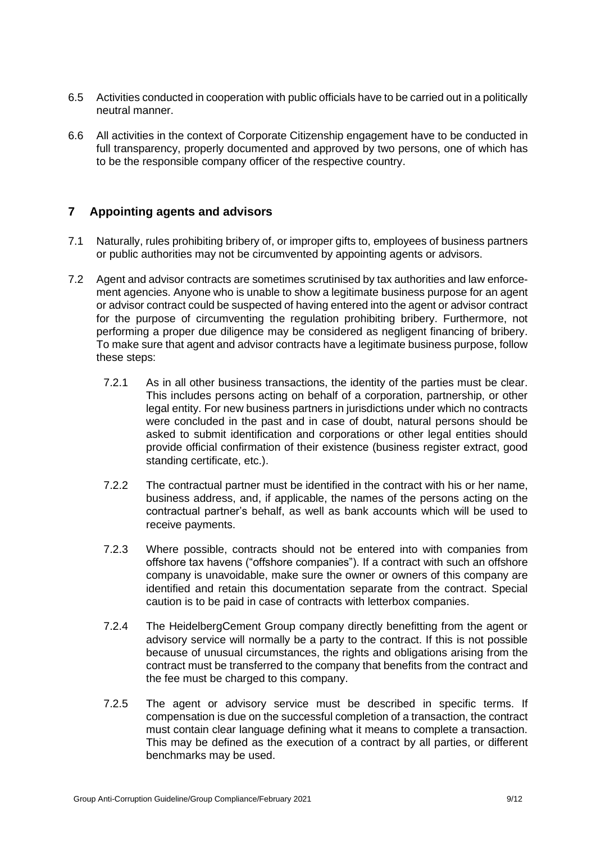- 6.5 Activities conducted in cooperation with public officials have to be carried out in a politically neutral manner.
- 6.6 All activities in the context of Corporate Citizenship engagement have to be conducted in full transparency, properly documented and approved by two persons, one of which has to be the responsible company officer of the respective country.

#### <span id="page-8-0"></span>**7 Appointing agents and advisors**

- 7.1 Naturally, rules prohibiting bribery of, or improper gifts to, employees of business partners or public authorities may not be circumvented by appointing agents or advisors.
- 7.2 Agent and advisor contracts are sometimes scrutinised by tax authorities and law enforcement agencies. Anyone who is unable to show a legitimate business purpose for an agent or advisor contract could be suspected of having entered into the agent or advisor contract for the purpose of circumventing the regulation prohibiting bribery. Furthermore, not performing a proper due diligence may be considered as negligent financing of bribery. To make sure that agent and advisor contracts have a legitimate business purpose, follow these steps:
	- 7.2.1 As in all other business transactions, the identity of the parties must be clear. This includes persons acting on behalf of a corporation, partnership, or other legal entity. For new business partners in jurisdictions under which no contracts were concluded in the past and in case of doubt, natural persons should be asked to submit identification and corporations or other legal entities should provide official confirmation of their existence (business register extract, good standing certificate, etc.).
	- 7.2.2 The contractual partner must be identified in the contract with his or her name, business address, and, if applicable, the names of the persons acting on the contractual partner's behalf, as well as bank accounts which will be used to receive payments.
	- 7.2.3 Where possible, contracts should not be entered into with companies from offshore tax havens ("offshore companies"). If a contract with such an offshore company is unavoidable, make sure the owner or owners of this company are identified and retain this documentation separate from the contract. Special caution is to be paid in case of contracts with letterbox companies.
	- 7.2.4 The HeidelbergCement Group company directly benefitting from the agent or advisory service will normally be a party to the contract. If this is not possible because of unusual circumstances, the rights and obligations arising from the contract must be transferred to the company that benefits from the contract and the fee must be charged to this company.
	- 7.2.5 The agent or advisory service must be described in specific terms. If compensation is due on the successful completion of a transaction, the contract must contain clear language defining what it means to complete a transaction. This may be defined as the execution of a contract by all parties, or different benchmarks may be used.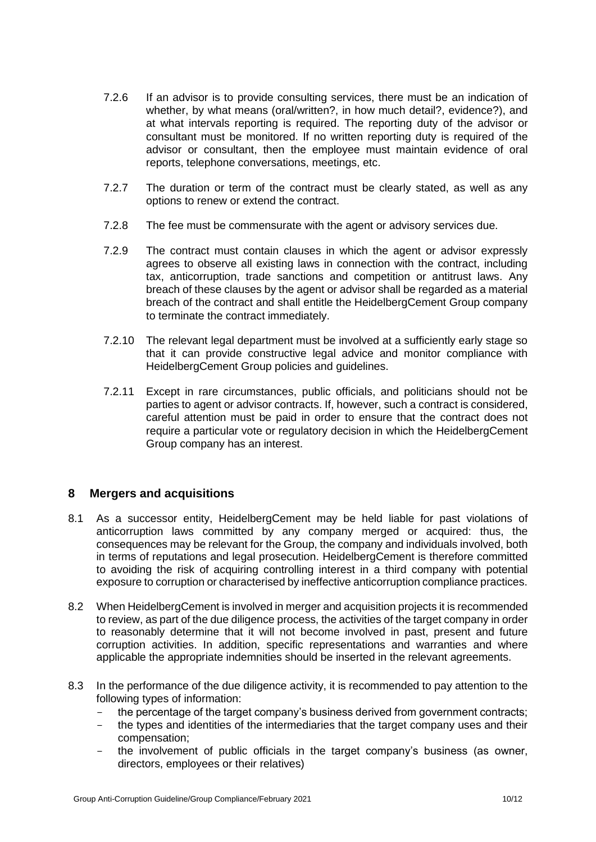- 7.2.6 If an advisor is to provide consulting services, there must be an indication of whether, by what means (oral/written?, in how much detail?, evidence?), and at what intervals reporting is required. The reporting duty of the advisor or consultant must be monitored. If no written reporting duty is required of the advisor or consultant, then the employee must maintain evidence of oral reports, telephone conversations, meetings, etc.
- 7.2.7 The duration or term of the contract must be clearly stated, as well as any options to renew or extend the contract.
- 7.2.8 The fee must be commensurate with the agent or advisory services due.
- 7.2.9 The contract must contain clauses in which the agent or advisor expressly agrees to observe all existing laws in connection with the contract, including tax, anticorruption, trade sanctions and competition or antitrust laws. Any breach of these clauses by the agent or advisor shall be regarded as a material breach of the contract and shall entitle the HeidelbergCement Group company to terminate the contract immediately.
- 7.2.10 The relevant legal department must be involved at a sufficiently early stage so that it can provide constructive legal advice and monitor compliance with HeidelbergCement Group policies and guidelines.
- 7.2.11 Except in rare circumstances, public officials, and politicians should not be parties to agent or advisor contracts. If, however, such a contract is considered, careful attention must be paid in order to ensure that the contract does not require a particular vote or regulatory decision in which the HeidelbergCement Group company has an interest.

#### <span id="page-9-0"></span>**8 Mergers and acquisitions**

- 8.1 As a successor entity, HeidelbergCement may be held liable for past violations of anticorruption laws committed by any company merged or acquired: thus, the consequences may be relevant for the Group, the company and individuals involved, both in terms of reputations and legal prosecution. HeidelbergCement is therefore committed to avoiding the risk of acquiring controlling interest in a third company with potential exposure to corruption or characterised by ineffective anticorruption compliance practices.
- 8.2 When HeidelbergCement is involved in merger and acquisition projects it is recommended to review, as part of the due diligence process, the activities of the target company in order to reasonably determine that it will not become involved in past, present and future corruption activities. In addition, specific representations and warranties and where applicable the appropriate indemnities should be inserted in the relevant agreements.
- 8.3 In the performance of the due diligence activity, it is recommended to pay attention to the following types of information:
	- the percentage of the target company's business derived from government contracts;
	- the types and identities of the intermediaries that the target company uses and their compensation;
	- the involvement of public officials in the target company's business (as owner, directors, employees or their relatives)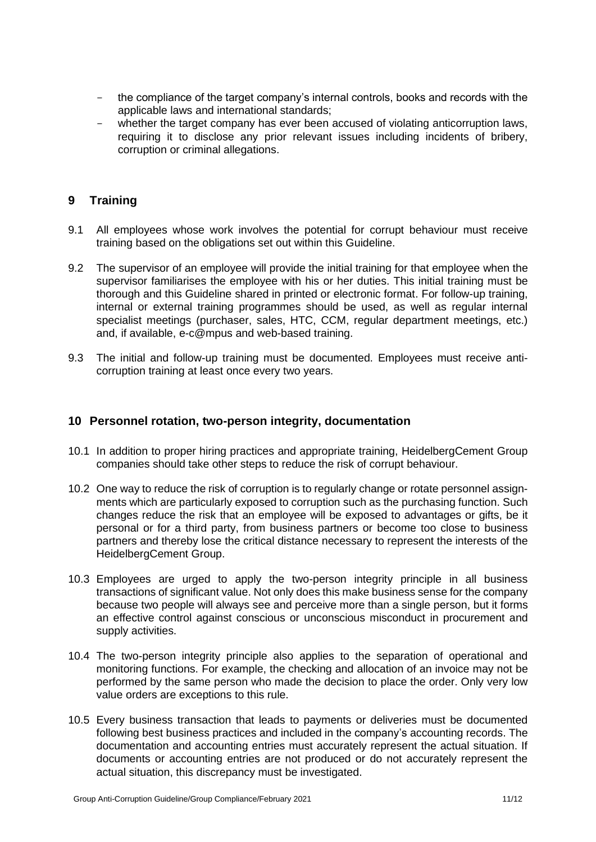- the compliance of the target company's internal controls, books and records with the applicable laws and international standards;
- whether the target company has ever been accused of violating anticorruption laws, requiring it to disclose any prior relevant issues including incidents of bribery, corruption or criminal allegations.

# <span id="page-10-0"></span>**9 Training**

- 9.1 All employees whose work involves the potential for corrupt behaviour must receive training based on the obligations set out within this Guideline.
- 9.2 The supervisor of an employee will provide the initial training for that employee when the supervisor familiarises the employee with his or her duties. This initial training must be thorough and this Guideline shared in printed or electronic format. For follow-up training, internal or external training programmes should be used, as well as regular internal specialist meetings (purchaser, sales, HTC, CCM, regular department meetings, etc.) and, if available, e-c@mpus and web-based training.
- 9.3 The initial and follow-up training must be documented. Employees must receive anticorruption training at least once every two years.

#### <span id="page-10-1"></span>**10 Personnel rotation, two-person integrity, documentation**

- 10.1 In addition to proper hiring practices and appropriate training, HeidelbergCement Group companies should take other steps to reduce the risk of corrupt behaviour.
- 10.2 One way to reduce the risk of corruption is to regularly change or rotate personnel assignments which are particularly exposed to corruption such as the purchasing function. Such changes reduce the risk that an employee will be exposed to advantages or gifts, be it personal or for a third party, from business partners or become too close to business partners and thereby lose the critical distance necessary to represent the interests of the HeidelbergCement Group.
- 10.3 Employees are urged to apply the two-person integrity principle in all business transactions of significant value. Not only does this make business sense for the company because two people will always see and perceive more than a single person, but it forms an effective control against conscious or unconscious misconduct in procurement and supply activities.
- 10.4 The two-person integrity principle also applies to the separation of operational and monitoring functions. For example, the checking and allocation of an invoice may not be performed by the same person who made the decision to place the order. Only very low value orders are exceptions to this rule.
- 10.5 Every business transaction that leads to payments or deliveries must be documented following best business practices and included in the company's accounting records. The documentation and accounting entries must accurately represent the actual situation. If documents or accounting entries are not produced or do not accurately represent the actual situation, this discrepancy must be investigated.